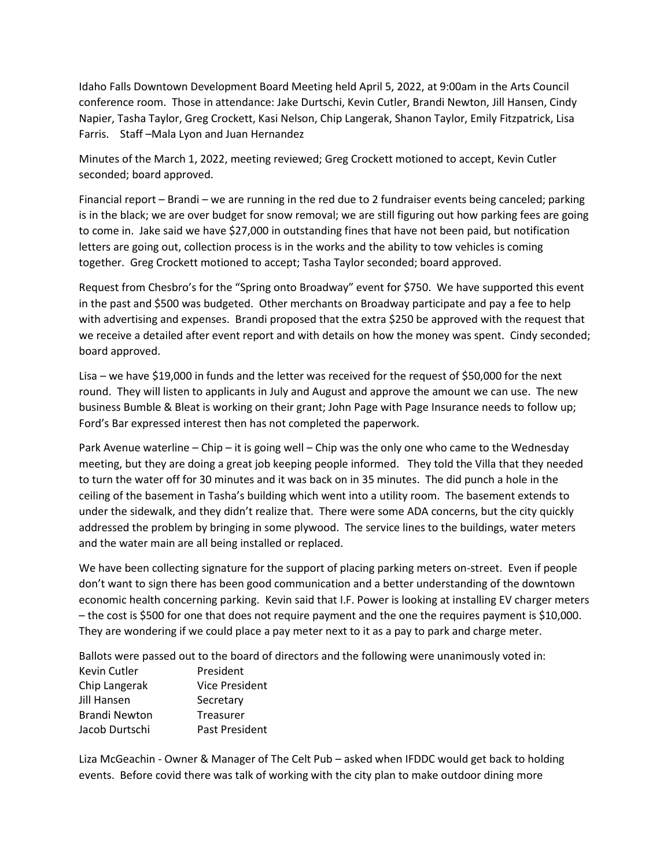Idaho Falls Downtown Development Board Meeting held April 5, 2022, at 9:00am in the Arts Council conference room. Those in attendance: Jake Durtschi, Kevin Cutler, Brandi Newton, Jill Hansen, Cindy Napier, Tasha Taylor, Greg Crockett, Kasi Nelson, Chip Langerak, Shanon Taylor, Emily Fitzpatrick, Lisa Farris. Staff –Mala Lyon and Juan Hernandez

Minutes of the March 1, 2022, meeting reviewed; Greg Crockett motioned to accept, Kevin Cutler seconded; board approved.

Financial report – Brandi – we are running in the red due to 2 fundraiser events being canceled; parking is in the black; we are over budget for snow removal; we are still figuring out how parking fees are going to come in. Jake said we have \$27,000 in outstanding fines that have not been paid, but notification letters are going out, collection process is in the works and the ability to tow vehicles is coming together. Greg Crockett motioned to accept; Tasha Taylor seconded; board approved.

Request from Chesbro's for the "Spring onto Broadway" event for \$750. We have supported this event in the past and \$500 was budgeted. Other merchants on Broadway participate and pay a fee to help with advertising and expenses. Brandi proposed that the extra \$250 be approved with the request that we receive a detailed after event report and with details on how the money was spent. Cindy seconded; board approved.

Lisa – we have \$19,000 in funds and the letter was received for the request of \$50,000 for the next round. They will listen to applicants in July and August and approve the amount we can use. The new business Bumble & Bleat is working on their grant; John Page with Page Insurance needs to follow up; Ford's Bar expressed interest then has not completed the paperwork.

Park Avenue waterline – Chip – it is going well – Chip was the only one who came to the Wednesday meeting, but they are doing a great job keeping people informed. They told the Villa that they needed to turn the water off for 30 minutes and it was back on in 35 minutes. The did punch a hole in the ceiling of the basement in Tasha's building which went into a utility room. The basement extends to under the sidewalk, and they didn't realize that. There were some ADA concerns, but the city quickly addressed the problem by bringing in some plywood. The service lines to the buildings, water meters and the water main are all being installed or replaced.

We have been collecting signature for the support of placing parking meters on-street. Even if people don't want to sign there has been good communication and a better understanding of the downtown economic health concerning parking. Kevin said that I.F. Power is looking at installing EV charger meters – the cost is \$500 for one that does not require payment and the one the requires payment is \$10,000. They are wondering if we could place a pay meter next to it as a pay to park and charge meter.

Ballots were passed out to the board of directors and the following were unanimously voted in: Kevin Cutler **President** Chip Langerak Vice President

| Jill Hansen    | Secretary      |
|----------------|----------------|
| Brandi Newton  | Treasurer      |
| Jacob Durtschi | Past President |

Liza McGeachin - Owner & Manager of The Celt Pub – asked when IFDDC would get back to holding events. Before covid there was talk of working with the city plan to make outdoor dining more